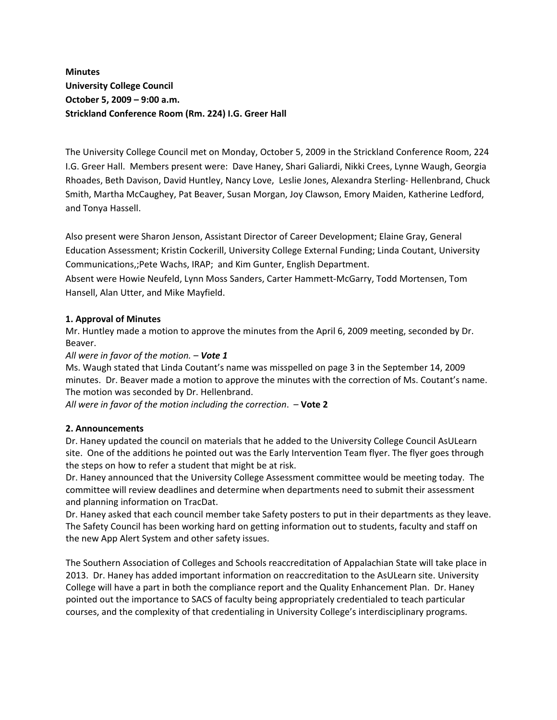# **Minutes University College Council October 5, 2009 – 9:00 a.m. Strickland Conference Room (Rm. 224) I.G. Greer Hall**

The University College Council met on Monday, October 5, 2009 in the Strickland Conference Room, 224 I.G. Greer Hall. Members present were: Dave Haney, Shari Galiardi, Nikki Crees, Lynne Waugh, Georgia Rhoades, Beth Davison, David Huntley, Nancy Love, Leslie Jones, Alexandra Sterling-Hellenbrand, Chuck Smith, Martha McCaughey, Pat Beaver, Susan Morgan, Joy Clawson, Emory Maiden, Katherine Ledford, and Tonya Hassell.

Also present were Sharon Jenson, Assistant Director of Career Development; Elaine Gray, General Education Assessment; Kristin Cockerill, University College External Funding; Linda Coutant, University Communications,;Pete Wachs, IRAP; and Kim Gunter, English Department.

Absent were Howie Neufeld, Lynn Moss Sanders, Carter Hammett‐McGarry, Todd Mortensen, Tom Hansell, Alan Utter, and Mike Mayfield.

## **1. Approval of Minutes**

Mr. Huntley made a motion to approve the minutes from the April 6, 2009 meeting, seconded by Dr. Beaver.

*All were in favor of the motion. – Vote 1*

Ms. Waugh stated that Linda Coutant's name was misspelled on page 3 in the September 14, 2009 minutes. Dr. Beaver made a motion to approve the minutes with the correction of Ms. Coutant's name. The motion was seconded by Dr. Hellenbrand.

*All were in favor of the motion including the correction*. – **Vote 2**

#### **2. Announcements**

Dr. Haney updated the council on materials that he added to the University College Council AsULearn site. One of the additions he pointed out was the Early Intervention Team flyer. The flyer goes through the steps on how to refer a student that might be at risk.

Dr. Haney announced that the University College Assessment committee would be meeting today. The committee will review deadlines and determine when departments need to submit their assessment and planning information on TracDat.

Dr. Haney asked that each council member take Safety posters to put in their departments as they leave. The Safety Council has been working hard on getting information out to students, faculty and staff on the new App Alert System and other safety issues.

The Southern Association of Colleges and Schools reaccreditation of Appalachian State will take place in 2013. Dr. Haney has added important information on reaccreditation to the AsULearn site. University College will have a part in both the compliance report and the Quality Enhancement Plan. Dr. Haney pointed out the importance to SACS of faculty being appropriately credentialed to teach particular courses, and the complexity of that credentialing in University College's interdisciplinary programs.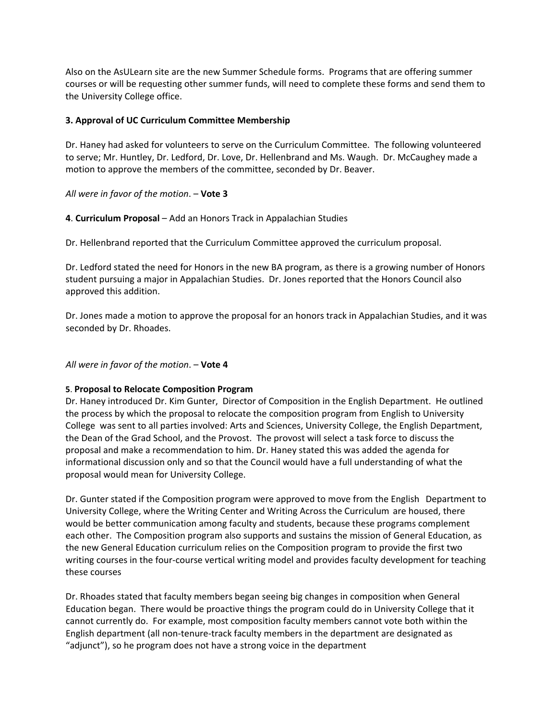Also on the AsULearn site are the new Summer Schedule forms. Programs that are offering summer courses or will be requesting other summer funds, will need to complete these forms and send them to the University College office.

#### **3. Approval of UC Curriculum Committee Membership**

Dr. Haney had asked for volunteers to serve on the Curriculum Committee. The following volunteered to serve; Mr. Huntley, Dr. Ledford, Dr. Love, Dr. Hellenbrand and Ms. Waugh. Dr. McCaughey made a motion to approve the members of the committee, seconded by Dr. Beaver.

## *All were in favor of the motion*. – **Vote 3**

**4**. **Curriculum Proposal** – Add an Honors Track in Appalachian Studies

Dr. Hellenbrand reported that the Curriculum Committee approved the curriculum proposal.

Dr. Ledford stated the need for Honors in the new BA program, as there is a growing number of Honors student pursuing a major in Appalachian Studies. Dr. Jones reported that the Honors Council also approved this addition.

Dr. Jones made a motion to approve the proposal for an honors track in Appalachian Studies, and it was seconded by Dr. Rhoades.

## *All were in favor of the motion*. – **Vote 4**

#### **5**. **Proposal to Relocate Composition Program**

Dr. Haney introduced Dr. Kim Gunter, Director of Composition in the English Department. He outlined the process by which the proposal to relocate the composition program from English to University College was sent to all parties involved: Arts and Sciences, University College, the English Department, the Dean of the Grad School, and the Provost. The provost will select a task force to discuss the proposal and make a recommendation to him. Dr. Haney stated this was added the agenda for informational discussion only and so that the Council would have a full understanding of what the proposal would mean for University College.

Dr. Gunter stated if the Composition program were approved to move from the English Department to University College, where the Writing Center and Writing Across the Curriculum are housed, there would be better communication among faculty and students, because these programs complement each other. The Composition program also supports and sustains the mission of General Education, as the new General Education curriculum relies on the Composition program to provide the first two writing courses in the four-course vertical writing model and provides faculty development for teaching these courses

Dr. Rhoades stated that faculty members began seeing big changes in composition when General Education began. There would be proactive things the program could do in University College that it cannot currently do. For example, most composition faculty members cannot vote both within the English department (all non‐tenure‐track faculty members in the department are designated as "adjunct"), so he program does not have a strong voice in the department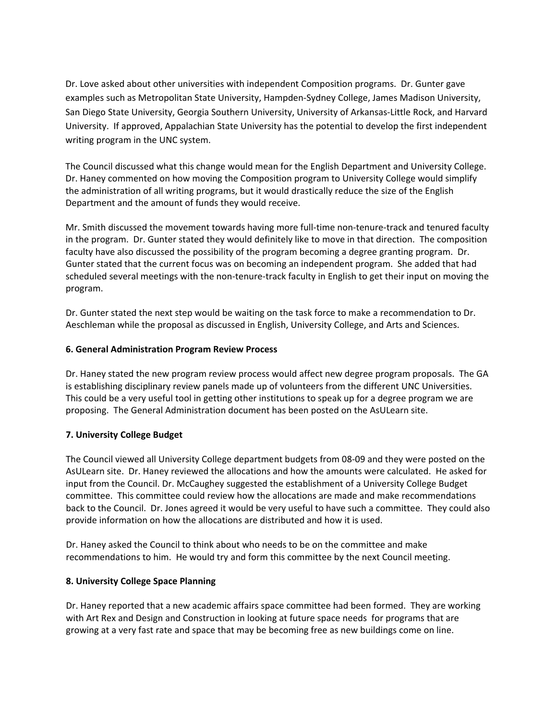Dr. Love asked about other universities with independent Composition programs. Dr. Gunter gave examples such as Metropolitan State University, Hampden‐Sydney College, James Madison University, San Diego State University, Georgia Southern University, University of Arkansas‐Little Rock, and Harvard University. If approved, Appalachian State University has the potential to develop the first independent writing program in the UNC system.

The Council discussed what this change would mean for the English Department and University College. Dr. Haney commented on how moving the Composition program to University College would simplify the administration of all writing programs, but it would drastically reduce the size of the English Department and the amount of funds they would receive.

Mr. Smith discussed the movement towards having more full-time non-tenure-track and tenured faculty in the program. Dr. Gunter stated they would definitely like to move in that direction. The composition faculty have also discussed the possibility of the program becoming a degree granting program. Dr. Gunter stated that the current focus was on becoming an independent program. She added that had scheduled several meetings with the non-tenure-track faculty in English to get their input on moving the program.

Dr. Gunter stated the next step would be waiting on the task force to make a recommendation to Dr. Aeschleman while the proposal as discussed in English, University College, and Arts and Sciences.

#### **6. General Administration Program Review Process**

Dr. Haney stated the new program review process would affect new degree program proposals. The GA is establishing disciplinary review panels made up of volunteers from the different UNC Universities. This could be a very useful tool in getting other institutions to speak up for a degree program we are proposing. The General Administration document has been posted on the AsULearn site.

# **7. University College Budget**

The Council viewed all University College department budgets from 08‐09 and they were posted on the AsULearn site. Dr. Haney reviewed the allocations and how the amounts were calculated. He asked for input from the Council. Dr. McCaughey suggested the establishment of a University College Budget committee. This committee could review how the allocations are made and make recommendations back to the Council. Dr. Jones agreed it would be very useful to have such a committee. They could also provide information on how the allocations are distributed and how it is used.

Dr. Haney asked the Council to think about who needs to be on the committee and make recommendations to him. He would try and form this committee by the next Council meeting.

#### **8. University College Space Planning**

Dr. Haney reported that a new academic affairs space committee had been formed. They are working with Art Rex and Design and Construction in looking at future space needs for programs that are growing at a very fast rate and space that may be becoming free as new buildings come on line.